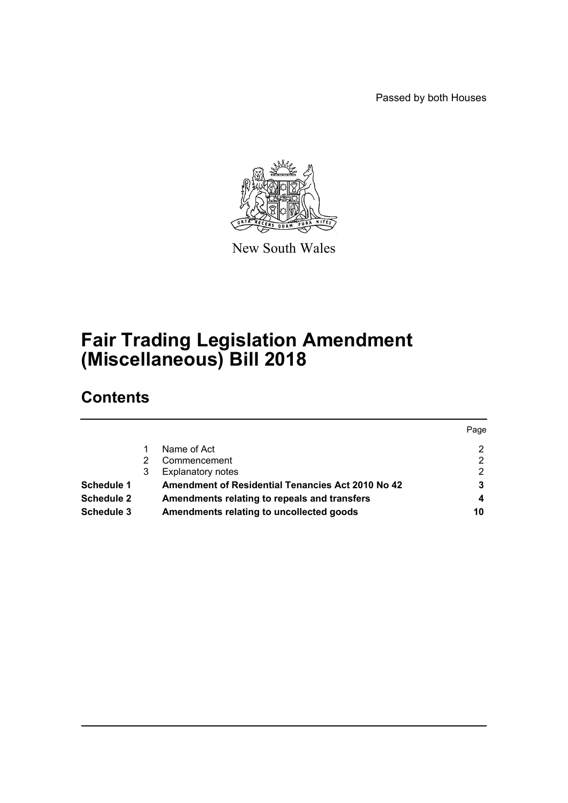Passed by both Houses



New South Wales

# **Fair Trading Legislation Amendment (Miscellaneous) Bill 2018**

# **Contents**

|                   |                                                          | Page |
|-------------------|----------------------------------------------------------|------|
|                   | Name of Act                                              | 2    |
|                   | Commencement                                             | っ    |
|                   | <b>Explanatory notes</b>                                 | 2    |
| <b>Schedule 1</b> | <b>Amendment of Residential Tenancies Act 2010 No 42</b> |      |
| <b>Schedule 2</b> | Amendments relating to repeals and transfers             | 4    |
| <b>Schedule 3</b> | Amendments relating to uncollected goods                 | 10   |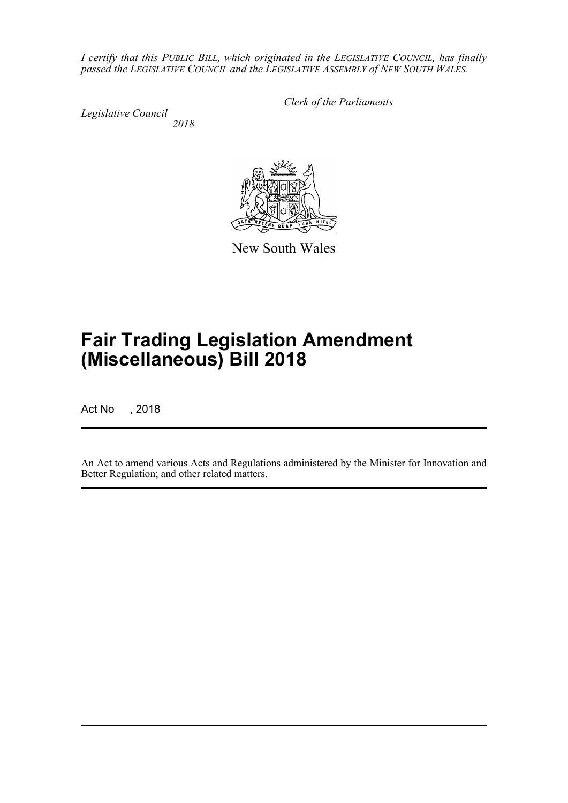*I certify that this PUBLIC BILL, which originated in the LEGISLATIVE COUNCIL, has finally passed the LEGISLATIVE COUNCIL and the LEGISLATIVE ASSEMBLY of NEW SOUTH WALES.*

*Legislative Council 2018* *Clerk of the Parliaments*

New South Wales

# **Fair Trading Legislation Amendment (Miscellaneous) Bill 2018**

Act No , 2018

An Act to amend various Acts and Regulations administered by the Minister for Innovation and Better Regulation; and other related matters.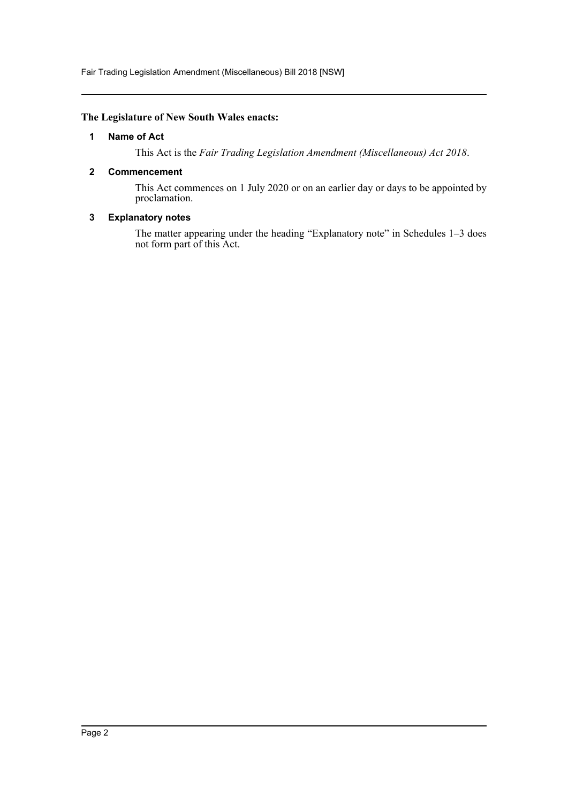Fair Trading Legislation Amendment (Miscellaneous) Bill 2018 [NSW]

## <span id="page-2-0"></span>**The Legislature of New South Wales enacts:**

### **1 Name of Act**

This Act is the *Fair Trading Legislation Amendment (Miscellaneous) Act 2018*.

### <span id="page-2-1"></span>**2 Commencement**

This Act commences on 1 July 2020 or on an earlier day or days to be appointed by proclamation.

## <span id="page-2-2"></span>**3 Explanatory notes**

The matter appearing under the heading "Explanatory note" in Schedules 1-3 does not form part of this Act.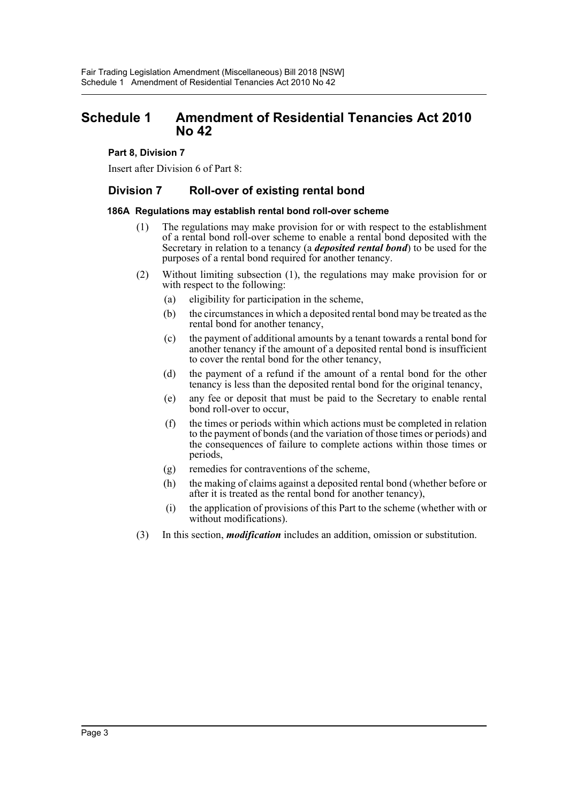## <span id="page-3-0"></span>**Schedule 1 Amendment of Residential Tenancies Act 2010 No 42**

## **Part 8, Division 7**

Insert after Division 6 of Part 8:

## **Division 7 Roll-over of existing rental bond**

#### **186A Regulations may establish rental bond roll-over scheme**

- (1) The regulations may make provision for or with respect to the establishment of a rental bond roll-over scheme to enable a rental bond deposited with the Secretary in relation to a tenancy (a *deposited rental bond*) to be used for the purposes of a rental bond required for another tenancy.
- (2) Without limiting subsection (1), the regulations may make provision for or with respect to the following:
	- (a) eligibility for participation in the scheme,
	- (b) the circumstances in which a deposited rental bond may be treated as the rental bond for another tenancy,
	- (c) the payment of additional amounts by a tenant towards a rental bond for another tenancy if the amount of a deposited rental bond is insufficient to cover the rental bond for the other tenancy,
	- (d) the payment of a refund if the amount of a rental bond for the other tenancy is less than the deposited rental bond for the original tenancy,
	- (e) any fee or deposit that must be paid to the Secretary to enable rental bond roll-over to occur,
	- (f) the times or periods within which actions must be completed in relation to the payment of bonds (and the variation of those times or periods) and the consequences of failure to complete actions within those times or periods,
	- (g) remedies for contraventions of the scheme,
	- (h) the making of claims against a deposited rental bond (whether before or after it is treated as the rental bond for another tenancy),
	- (i) the application of provisions of this Part to the scheme (whether with or without modifications).
- (3) In this section, *modification* includes an addition, omission or substitution.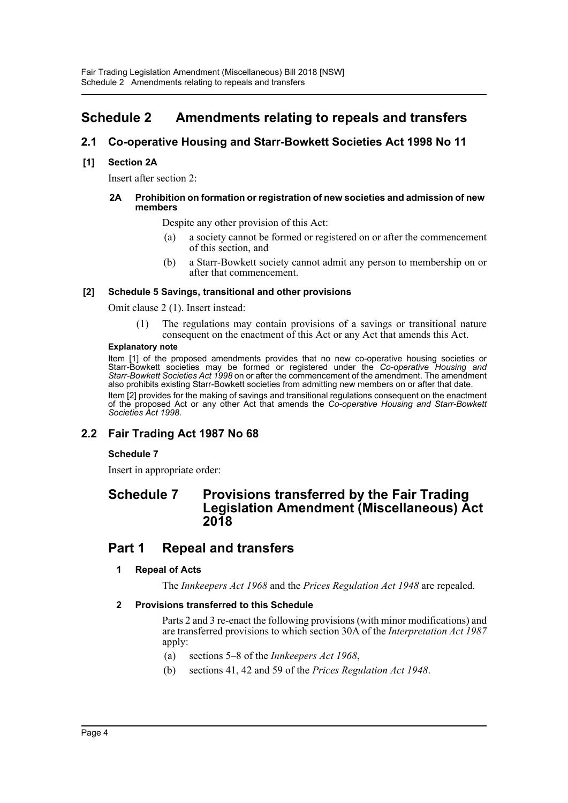## <span id="page-4-0"></span>**Schedule 2 Amendments relating to repeals and transfers**

## **2.1 Co-operative Housing and Starr-Bowkett Societies Act 1998 No 11**

## **[1] Section 2A**

Insert after section 2:

#### **2A Prohibition on formation or registration of new societies and admission of new members**

Despite any other provision of this Act:

- (a) a society cannot be formed or registered on or after the commencement of this section, and
- (b) a Starr-Bowkett society cannot admit any person to membership on or after that commencement.

#### **[2] Schedule 5 Savings, transitional and other provisions**

Omit clause 2 (1). Insert instead:

(1) The regulations may contain provisions of a savings or transitional nature consequent on the enactment of this Act or any Act that amends this Act.

#### **Explanatory note**

Item [1] of the proposed amendments provides that no new co-operative housing societies or Starr-Bowkett societies may be formed or registered under the *Co-operative Housing and Starr-Bowkett Societies Act 1998* on or after the commencement of the amendment. The amendment also prohibits existing Starr-Bowkett societies from admitting new members on or after that date. Item [2] provides for the making of savings and transitional regulations consequent on the enactment of the proposed Act or any other Act that amends the *Co-operative Housing and Starr-Bowkett Societies Act 1998*.

## **2.2 Fair Trading Act 1987 No 68**

## **Schedule 7**

Insert in appropriate order:

## **Schedule 7 Provisions transferred by the Fair Trading Legislation Amendment (Miscellaneous) Act 2018**

## **Part 1 Repeal and transfers**

## **1 Repeal of Acts**

The *Innkeepers Act 1968* and the *Prices Regulation Act 1948* are repealed.

#### **2 Provisions transferred to this Schedule**

Parts 2 and 3 re-enact the following provisions (with minor modifications) and are transferred provisions to which section 30A of the *Interpretation Act 1987* apply:

- (a) sections 5–8 of the *Innkeepers Act 1968*,
- (b) sections 41, 42 and 59 of the *Prices Regulation Act 1948*.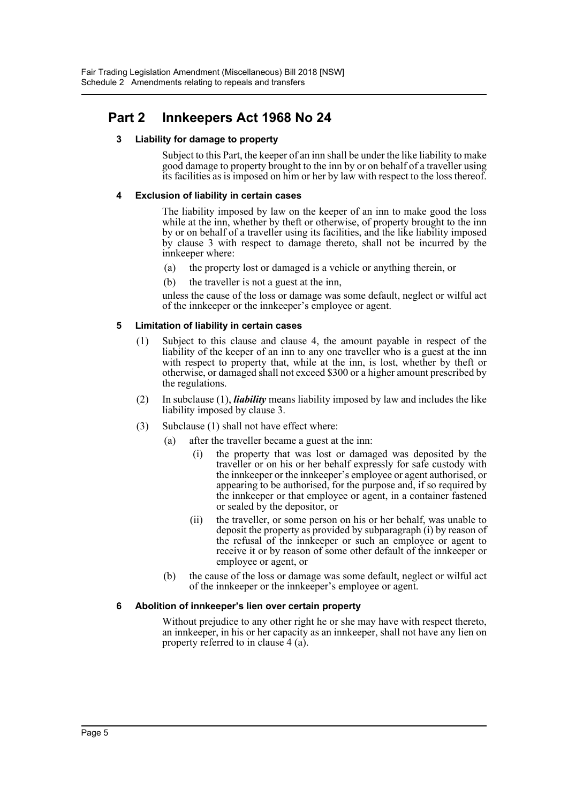## **Part 2 Innkeepers Act 1968 No 24**

## **3 Liability for damage to property**

Subject to this Part, the keeper of an inn shall be under the like liability to make good damage to property brought to the inn by or on behalf of a traveller using its facilities as is imposed on him or her by law with respect to the loss thereof.

### **4 Exclusion of liability in certain cases**

The liability imposed by law on the keeper of an inn to make good the loss while at the inn, whether by theft or otherwise, of property brought to the inn by or on behalf of a traveller using its facilities, and the like liability imposed by clause 3 with respect to damage thereto, shall not be incurred by the innkeeper where:

- (a) the property lost or damaged is a vehicle or anything therein, or
- (b) the traveller is not a guest at the inn,

unless the cause of the loss or damage was some default, neglect or wilful act of the innkeeper or the innkeeper's employee or agent.

## **5 Limitation of liability in certain cases**

- (1) Subject to this clause and clause 4, the amount payable in respect of the liability of the keeper of an inn to any one traveller who is a guest at the inn with respect to property that, while at the inn, is lost, whether by theft or otherwise, or damaged shall not exceed \$300 or a higher amount prescribed by the regulations.
- (2) In subclause (1), *liability* means liability imposed by law and includes the like liability imposed by clause 3.
- (3) Subclause (1) shall not have effect where:
	- (a) after the traveller became a guest at the inn:
		- (i) the property that was lost or damaged was deposited by the traveller or on his or her behalf expressly for safe custody with the innkeeper or the innkeeper's employee or agent authorised, or appearing to be authorised, for the purpose and, if so required by the innkeeper or that employee or agent, in a container fastened or sealed by the depositor, or
		- (ii) the traveller, or some person on his or her behalf, was unable to deposit the property as provided by subparagraph (i) by reason of the refusal of the innkeeper or such an employee or agent to receive it or by reason of some other default of the innkeeper or employee or agent, or
	- (b) the cause of the loss or damage was some default, neglect or wilful act of the innkeeper or the innkeeper's employee or agent.

## **6 Abolition of innkeeper's lien over certain property**

Without prejudice to any other right he or she may have with respect thereto, an innkeeper, in his or her capacity as an innkeeper, shall not have any lien on property referred to in clause 4 (a).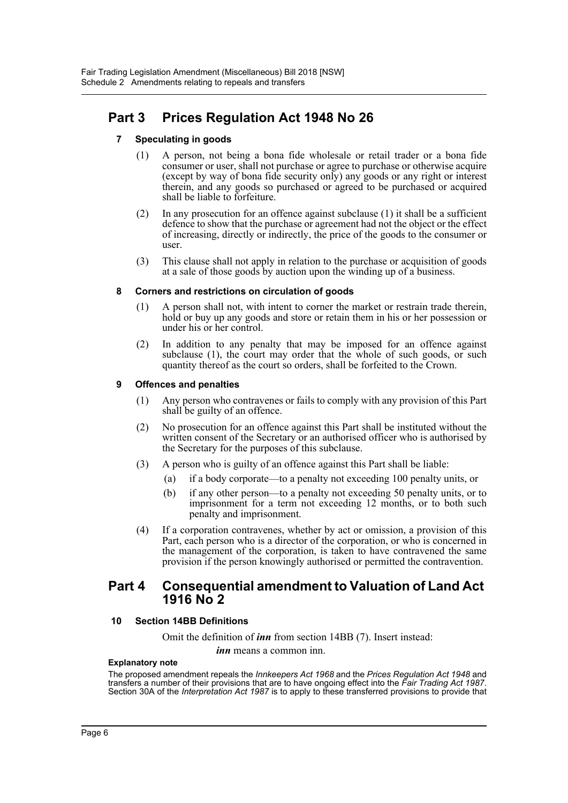## **Part 3 Prices Regulation Act 1948 No 26**

## **7 Speculating in goods**

- (1) A person, not being a bona fide wholesale or retail trader or a bona fide consumer or user, shall not purchase or agree to purchase or otherwise acquire (except by way of bona fide security only) any goods or any right or interest therein, and any goods so purchased or agreed to be purchased or acquired shall be liable to forfeiture.
- (2) In any prosecution for an offence against subclause (1) it shall be a sufficient defence to show that the purchase or agreement had not the object or the effect of increasing, directly or indirectly, the price of the goods to the consumer or user.
- (3) This clause shall not apply in relation to the purchase or acquisition of goods at a sale of those goods by auction upon the winding up of a business.

#### **8 Corners and restrictions on circulation of goods**

- (1) A person shall not, with intent to corner the market or restrain trade therein, hold or buy up any goods and store or retain them in his or her possession or under his or her control.
- (2) In addition to any penalty that may be imposed for an offence against subclause (1), the court may order that the whole of such goods, or such quantity thereof as the court so orders, shall be forfeited to the Crown.

#### **9 Offences and penalties**

- (1) Any person who contravenes or fails to comply with any provision of this Part shall be guilty of an offence.
- (2) No prosecution for an offence against this Part shall be instituted without the written consent of the Secretary or an authorised officer who is authorised by the Secretary for the purposes of this subclause.
- (3) A person who is guilty of an offence against this Part shall be liable:
	- (a) if a body corporate—to a penalty not exceeding 100 penalty units, or
	- (b) if any other person—to a penalty not exceeding 50 penalty units, or to imprisonment for a term not exceeding 12 months, or to both such penalty and imprisonment.
- (4) If a corporation contravenes, whether by act or omission, a provision of this Part, each person who is a director of the corporation, or who is concerned in the management of the corporation, is taken to have contravened the same provision if the person knowingly authorised or permitted the contravention.

## **Part 4 Consequential amendment to Valuation of Land Act 1916 No 2**

#### **10 Section 14BB Definitions**

Omit the definition of *inn* from section 14BB (7). Insert instead:

*inn* means a common inn.

#### **Explanatory note**

The proposed amendment repeals the *Innkeepers Act 1968* and the *Prices Regulation Act 1948* and transfers a number of their provisions that are to have ongoing effect into the *Fair Trading Act 1987*. Section 30A of the *Interpretation Act 1987* is to apply to these transferred provisions to provide that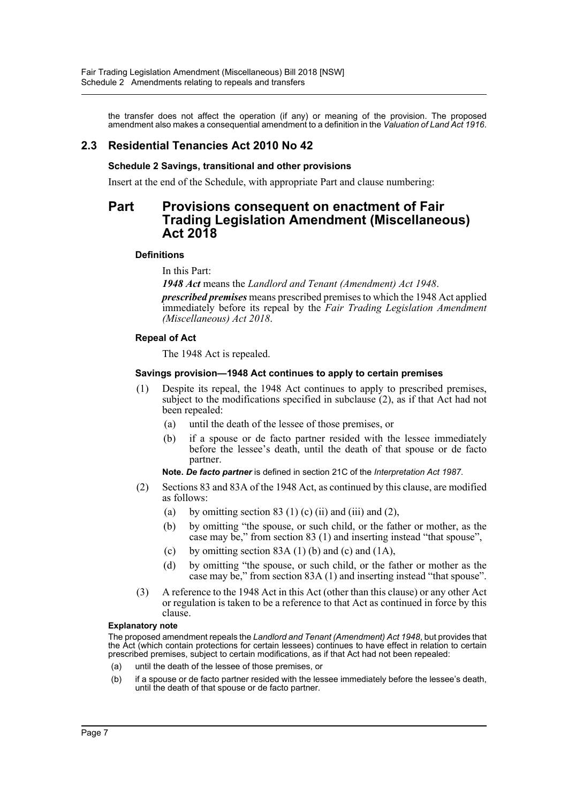the transfer does not affect the operation (if any) or meaning of the provision. The proposed amendment also makes a consequential amendment to a definition in the *Valuation of Land Act 1916*.

## **2.3 Residential Tenancies Act 2010 No 42**

## **Schedule 2 Savings, transitional and other provisions**

Insert at the end of the Schedule, with appropriate Part and clause numbering:

## **Part Provisions consequent on enactment of Fair Trading Legislation Amendment (Miscellaneous) Act 2018**

#### **Definitions**

In this Part:

*1948 Act* means the *Landlord and Tenant (Amendment) Act 1948*.

*prescribed premises* means prescribed premises to which the 1948 Act applied immediately before its repeal by the *Fair Trading Legislation Amendment (Miscellaneous) Act 2018*.

#### **Repeal of Act**

The 1948 Act is repealed.

#### **Savings provision—1948 Act continues to apply to certain premises**

- (1) Despite its repeal, the 1948 Act continues to apply to prescribed premises, subject to the modifications specified in subclause (2), as if that Act had not been repealed:
	- (a) until the death of the lessee of those premises, or
	- (b) if a spouse or de facto partner resided with the lessee immediately before the lessee's death, until the death of that spouse or de facto partner.

#### **Note.** *De facto partner* is defined in section 21C of the *Interpretation Act 1987*.

- (2) Sections 83 and 83A of the 1948 Act, as continued by this clause, are modified as follows:
	- (a) by omitting section  $83 \text{ (1) (c) (ii) and (iii) and (2)}$ ,
	- (b) by omitting "the spouse, or such child, or the father or mother, as the case may be," from section 83 (1) and inserting instead "that spouse",
	- (c) by omitting section  $83A(1)$  (b) and (c) and (1A),
	- (d) by omitting "the spouse, or such child, or the father or mother as the case may be," from section 83A (1) and inserting instead "that spouse".
- (3) A reference to the 1948 Act in this Act (other than this clause) or any other Act or regulation is taken to be a reference to that Act as continued in force by this clause.

#### **Explanatory note**

The proposed amendment repeals the *Landlord and Tenant (Amendment) Act 1948*, but provides that the Act (which contain protections for certain lessees) continues to have effect in relation to certain prescribed premises, subject to certain modifications, as if that Act had not been repealed:

- (a) until the death of the lessee of those premises, or
- (b) if a spouse or de facto partner resided with the lessee immediately before the lessee's death, until the death of that spouse or de facto partner.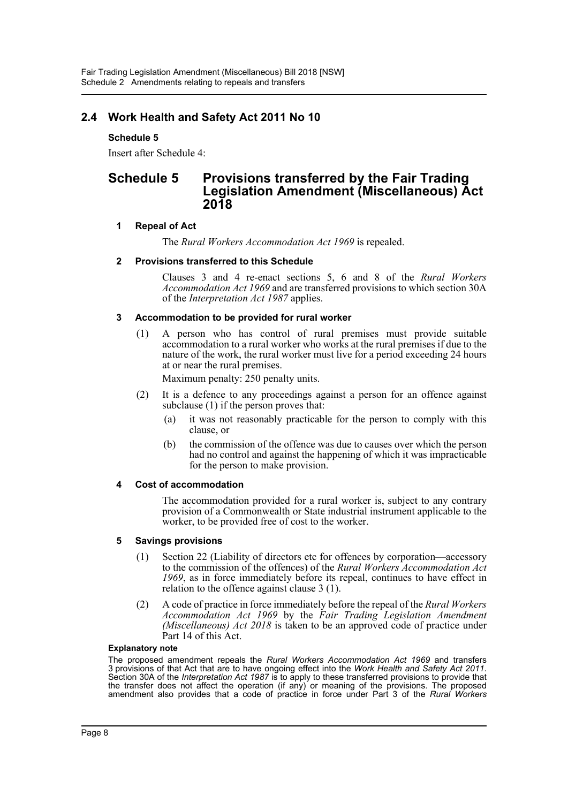## **2.4 Work Health and Safety Act 2011 No 10**

## **Schedule 5**

Insert after Schedule 4:

## **Schedule 5 Provisions transferred by the Fair Trading Legislation Amendment (Miscellaneous) Act 2018**

## **1 Repeal of Act**

The *Rural Workers Accommodation Act 1969* is repealed.

#### **2 Provisions transferred to this Schedule**

Clauses 3 and 4 re-enact sections 5, 6 and 8 of the *Rural Workers Accommodation Act 1969* and are transferred provisions to which section 30A of the *Interpretation Act 1987* applies.

#### **3 Accommodation to be provided for rural worker**

(1) A person who has control of rural premises must provide suitable accommodation to a rural worker who works at the rural premises if due to the nature of the work, the rural worker must live for a period exceeding 24 hours at or near the rural premises.

Maximum penalty: 250 penalty units.

- (2) It is a defence to any proceedings against a person for an offence against subclause (1) if the person proves that:
	- (a) it was not reasonably practicable for the person to comply with this clause, or
	- (b) the commission of the offence was due to causes over which the person had no control and against the happening of which it was impracticable for the person to make provision.

#### **4 Cost of accommodation**

The accommodation provided for a rural worker is, subject to any contrary provision of a Commonwealth or State industrial instrument applicable to the worker, to be provided free of cost to the worker.

#### **5 Savings provisions**

- (1) Section 22 (Liability of directors etc for offences by corporation—accessory to the commission of the offences) of the *Rural Workers Accommodation Act 1969*, as in force immediately before its repeal, continues to have effect in relation to the offence against clause 3 (1).
- (2) A code of practice in force immediately before the repeal of the *Rural Workers Accommodation Act 1969* by the *Fair Trading Legislation Amendment (Miscellaneous) Act 2018* is taken to be an approved code of practice under Part 14 of this Act.

#### **Explanatory note**

The proposed amendment repeals the *Rural Workers Accommodation Act 1969* and transfers Section 30A of the *Interpretation Act 1987* is to apply to these transferred provisions to provide that the transfer does not affect the operation (if any) or meaning of the provisions. The proposed amendment also provides that a code of practice in force under Part 3 of the *Rural Workers*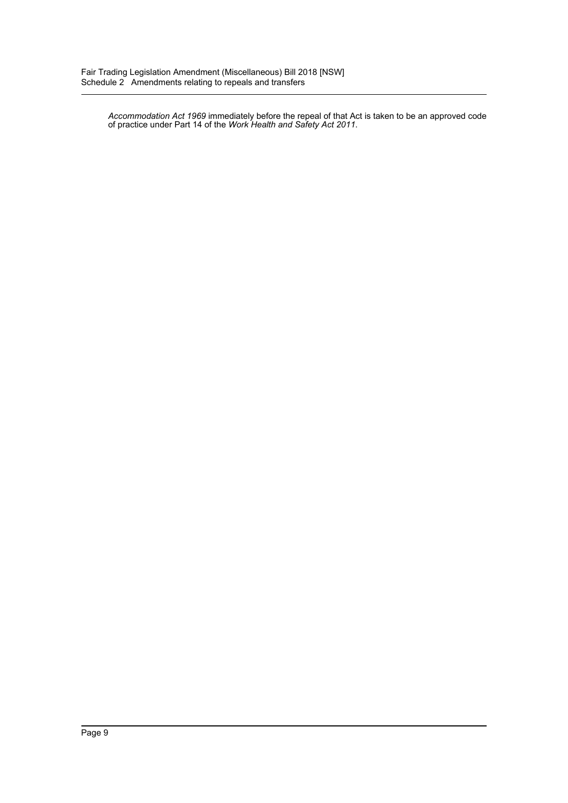*Accommodation Act 1969* immediately before the repeal of that Act is taken to be an approved code of practice under Part 14 of the *Work Health and Safety Act 2011*.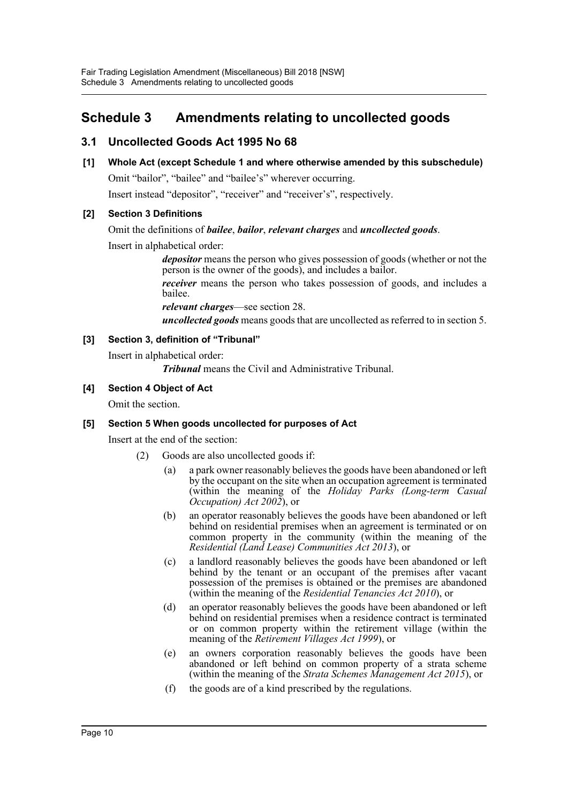## <span id="page-10-0"></span>**Schedule 3 Amendments relating to uncollected goods**

## **3.1 Uncollected Goods Act 1995 No 68**

## **[1] Whole Act (except Schedule 1 and where otherwise amended by this subschedule)**

Omit "bailor", "bailee" and "bailee's" wherever occurring.

Insert instead "depositor", "receiver" and "receiver's", respectively.

## **[2] Section 3 Definitions**

## Omit the definitions of *bailee*, *bailor*, *relevant charges* and *uncollected goods*.

Insert in alphabetical order:

*depositor* means the person who gives possession of goods (whether or not the person is the owner of the goods), and includes a bailor.

*receiver* means the person who takes possession of goods, and includes a bailee.

*relevant charges*—see section 28.

*uncollected goods* means goods that are uncollected as referred to in section 5.

## **[3] Section 3, definition of "Tribunal"**

Insert in alphabetical order:

*Tribunal* means the Civil and Administrative Tribunal.

## **[4] Section 4 Object of Act**

Omit the section.

## **[5] Section 5 When goods uncollected for purposes of Act**

Insert at the end of the section:

- (2) Goods are also uncollected goods if:
	- (a) a park owner reasonably believes the goods have been abandoned or left by the occupant on the site when an occupation agreement is terminated (within the meaning of the *Holiday Parks (Long-term Casual Occupation) Act 2002*), or
	- (b) an operator reasonably believes the goods have been abandoned or left behind on residential premises when an agreement is terminated or on common property in the community (within the meaning of the *Residential (Land Lease) Communities Act 2013*), or
	- (c) a landlord reasonably believes the goods have been abandoned or left behind by the tenant or an occupant of the premises after vacant possession of the premises is obtained or the premises are abandoned (within the meaning of the *Residential Tenancies Act 2010*), or
	- (d) an operator reasonably believes the goods have been abandoned or left behind on residential premises when a residence contract is terminated or on common property within the retirement village (within the meaning of the *Retirement Villages Act 1999*), or
	- (e) an owners corporation reasonably believes the goods have been abandoned or left behind on common property of a strata scheme (within the meaning of the *Strata Schemes Management Act 2015*), or
	- (f) the goods are of a kind prescribed by the regulations.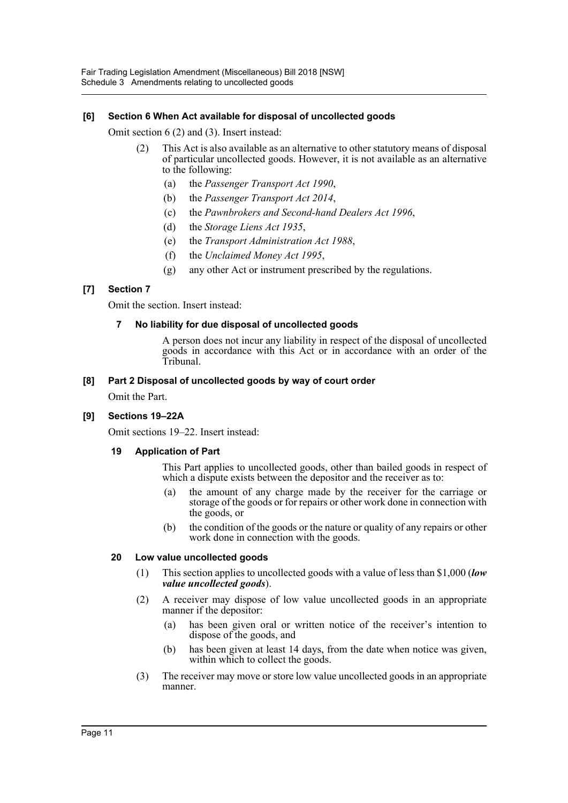## **[6] Section 6 When Act available for disposal of uncollected goods**

Omit section 6 (2) and (3). Insert instead:

- (2) This Act is also available as an alternative to other statutory means of disposal of particular uncollected goods. However, it is not available as an alternative to the following:
	- (a) the *Passenger Transport Act 1990*,
	- (b) the *Passenger Transport Act 2014*,
	- (c) the *Pawnbrokers and Second-hand Dealers Act 1996*,
	- (d) the *Storage Liens Act 1935*,
	- (e) the *Transport Administration Act 1988*,
	- (f) the *Unclaimed Money Act 1995*,
	- (g) any other Act or instrument prescribed by the regulations.

## **[7] Section 7**

Omit the section. Insert instead:

## **7 No liability for due disposal of uncollected goods**

A person does not incur any liability in respect of the disposal of uncollected goods in accordance with this Act or in accordance with an order of the Tribunal.

#### **[8] Part 2 Disposal of uncollected goods by way of court order**

Omit the Part.

## **[9] Sections 19–22A**

Omit sections 19–22. Insert instead:

#### **19 Application of Part**

This Part applies to uncollected goods, other than bailed goods in respect of which a dispute exists between the depositor and the receiver as to:

- (a) the amount of any charge made by the receiver for the carriage or storage of the goods or for repairs or other work done in connection with the goods, or
- (b) the condition of the goods or the nature or quality of any repairs or other work done in connection with the goods.

#### **20 Low value uncollected goods**

- (1) This section applies to uncollected goods with a value of less than \$1,000 (*low value uncollected goods*).
- (2) A receiver may dispose of low value uncollected goods in an appropriate manner if the depositor:
	- (a) has been given oral or written notice of the receiver's intention to dispose of the goods, and
	- (b) has been given at least 14 days, from the date when notice was given, within which to collect the goods.
- (3) The receiver may move or store low value uncollected goods in an appropriate manner.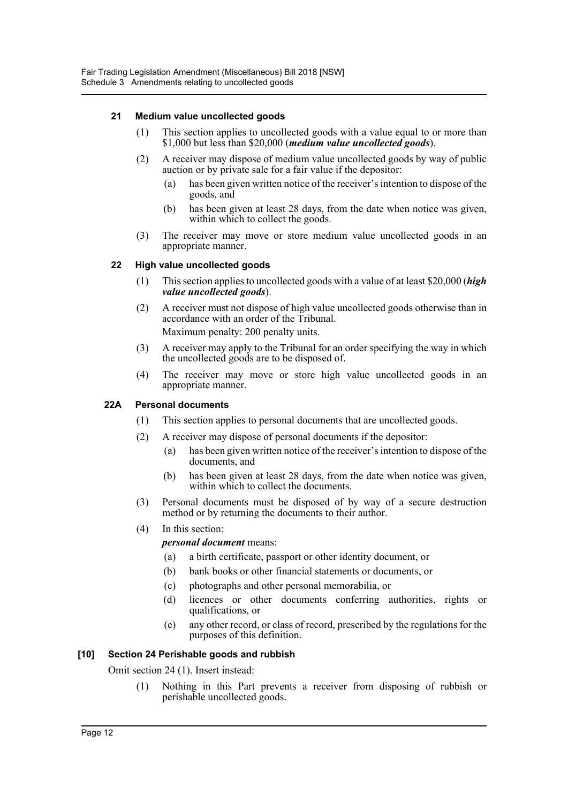## **21 Medium value uncollected goods**

- (1) This section applies to uncollected goods with a value equal to or more than \$1,000 but less than \$20,000 (*medium value uncollected goods*).
- (2) A receiver may dispose of medium value uncollected goods by way of public auction or by private sale for a fair value if the depositor:
	- (a) has been given written notice of the receiver's intention to dispose of the goods, and
	- (b) has been given at least 28 days, from the date when notice was given, within which to collect the goods.
- (3) The receiver may move or store medium value uncollected goods in an appropriate manner.

## **22 High value uncollected goods**

- (1) This section applies to uncollected goods with a value of at least \$20,000 (*high value uncollected goods*).
- (2) A receiver must not dispose of high value uncollected goods otherwise than in accordance with an order of the Tribunal. Maximum penalty: 200 penalty units.
- (3) A receiver may apply to the Tribunal for an order specifying the way in which the uncollected goods are to be disposed of.
- (4) The receiver may move or store high value uncollected goods in an appropriate manner.

### **22A Personal documents**

- (1) This section applies to personal documents that are uncollected goods.
- (2) A receiver may dispose of personal documents if the depositor:
	- (a) has been given written notice of the receiver's intention to dispose of the documents, and
	- (b) has been given at least 28 days, from the date when notice was given, within which to collect the documents.
- (3) Personal documents must be disposed of by way of a secure destruction method or by returning the documents to their author.
- (4) In this section:

#### *personal document* means:

- (a) a birth certificate, passport or other identity document, or
- (b) bank books or other financial statements or documents, or
- (c) photographs and other personal memorabilia, or
- (d) licences or other documents conferring authorities, rights or qualifications, or
- (e) any other record, or class of record, prescribed by the regulations for the purposes of this definition.

#### **[10] Section 24 Perishable goods and rubbish**

Omit section 24 (1). Insert instead:

(1) Nothing in this Part prevents a receiver from disposing of rubbish or perishable uncollected goods.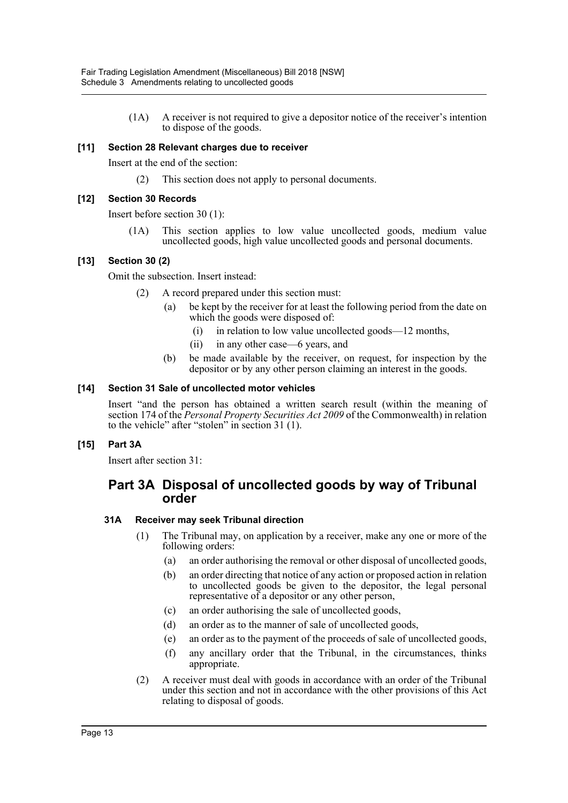(1A) A receiver is not required to give a depositor notice of the receiver's intention to dispose of the goods.

## **[11] Section 28 Relevant charges due to receiver**

Insert at the end of the section:

(2) This section does not apply to personal documents.

### **[12] Section 30 Records**

Insert before section 30 (1):

(1A) This section applies to low value uncollected goods, medium value uncollected goods, high value uncollected goods and personal documents.

#### **[13] Section 30 (2)**

Omit the subsection. Insert instead:

- (2) A record prepared under this section must:
	- be kept by the receiver for at least the following period from the date on which the goods were disposed of:
		- (i) in relation to low value uncollected goods—12 months,
		- (ii) in any other case—6 years, and
	- (b) be made available by the receiver, on request, for inspection by the depositor or by any other person claiming an interest in the goods.

## **[14] Section 31 Sale of uncollected motor vehicles**

Insert "and the person has obtained a written search result (within the meaning of section 174 of the *Personal Property Securities Act 2009* of the Commonwealth) in relation to the vehicle" after "stolen" in section 31 (1).

#### **[15] Part 3A**

Insert after section 31:

## **Part 3A Disposal of uncollected goods by way of Tribunal order**

#### **31A Receiver may seek Tribunal direction**

- (1) The Tribunal may, on application by a receiver, make any one or more of the following orders:
	- (a) an order authorising the removal or other disposal of uncollected goods,
	- (b) an order directing that notice of any action or proposed action in relation to uncollected goods be given to the depositor, the legal personal representative of a depositor or any other person,
	- (c) an order authorising the sale of uncollected goods,
	- (d) an order as to the manner of sale of uncollected goods,
	- (e) an order as to the payment of the proceeds of sale of uncollected goods,
	- (f) any ancillary order that the Tribunal, in the circumstances, thinks appropriate.
- (2) A receiver must deal with goods in accordance with an order of the Tribunal under this section and not in accordance with the other provisions of this Act relating to disposal of goods.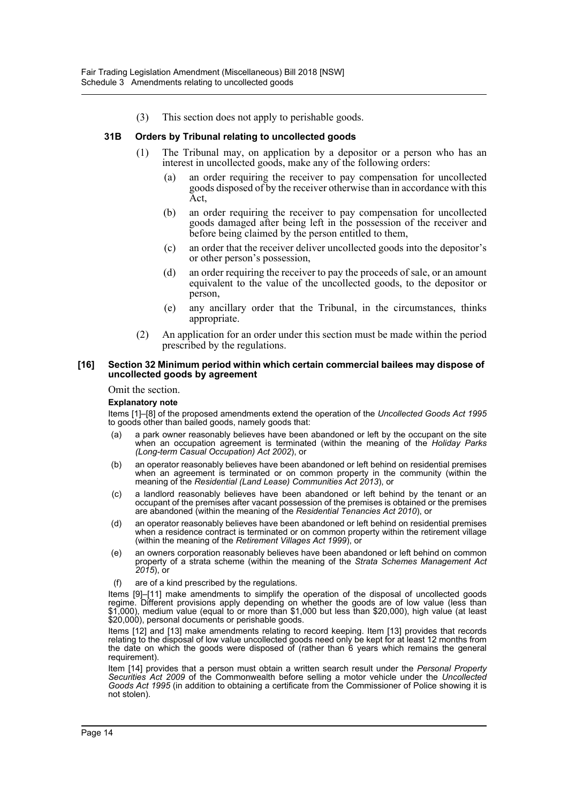(3) This section does not apply to perishable goods.

#### **31B Orders by Tribunal relating to uncollected goods**

- (1) The Tribunal may, on application by a depositor or a person who has an interest in uncollected goods, make any of the following orders:
	- (a) an order requiring the receiver to pay compensation for uncollected goods disposed of by the receiver otherwise than in accordance with this Act,
	- (b) an order requiring the receiver to pay compensation for uncollected goods damaged after being left in the possession of the receiver and before being claimed by the person entitled to them,
	- (c) an order that the receiver deliver uncollected goods into the depositor's or other person's possession,
	- (d) an order requiring the receiver to pay the proceeds of sale, or an amount equivalent to the value of the uncollected goods, to the depositor or person,
	- (e) any ancillary order that the Tribunal, in the circumstances, thinks appropriate.
- (2) An application for an order under this section must be made within the period prescribed by the regulations.

#### **[16] Section 32 Minimum period within which certain commercial bailees may dispose of uncollected goods by agreement**

#### Omit the section.

#### **Explanatory note**

Items [1]–[8] of the proposed amendments extend the operation of the *Uncollected Goods Act 1995* to goods other than bailed goods, namely goods that:

- (a) a park owner reasonably believes have been abandoned or left by the occupant on the site when an occupation agreement is terminated (within the meaning of the *Holiday Parks (Long-term Casual Occupation) Act 2002*), or
- (b) an operator reasonably believes have been abandoned or left behind on residential premises when an agreement is terminated or on common property in the community (within the meaning of the *Residential (Land Lease) Communities Act 2013*), or
- (c) a landlord reasonably believes have been abandoned or left behind by the tenant or an occupant of the premises after vacant possession of the premises is obtained or the premises are abandoned (within the meaning of the *Residential Tenancies Act 2010*), or
- (d) an operator reasonably believes have been abandoned or left behind on residential premises when a residence contract is terminated or on common property within the retirement village (within the meaning of the *Retirement Villages Act 1999*), or
- (e) an owners corporation reasonably believes have been abandoned or left behind on common property of a strata scheme (within the meaning of the *Strata Schemes Management Act 2015*), or
- (f) are of a kind prescribed by the regulations.

Items [9]–[11] make amendments to simplify the operation of the disposal of uncollected goods regime. Different provisions apply depending on whether the goods are of low value (less than \$1,000), medium value (equal to or more than \$1,000 but less than \$20,000), high value (at least \$20,000), personal documents or perishable goods.

Items [12] and [13] make amendments relating to record keeping. Item [13] provides that records relating to the disposal of low value uncollected goods need only be kept for at least 12 months from the date on which the goods were disposed of (rather than 6 years which remains the general requirement).

Item [14] provides that a person must obtain a written search result under the *Personal Property Securities Act 2009* of the Commonwealth before selling a motor vehicle under the *Uncollected Goods Act 1995* (in addition to obtaining a certificate from the Commissioner of Police showing it is not stolen).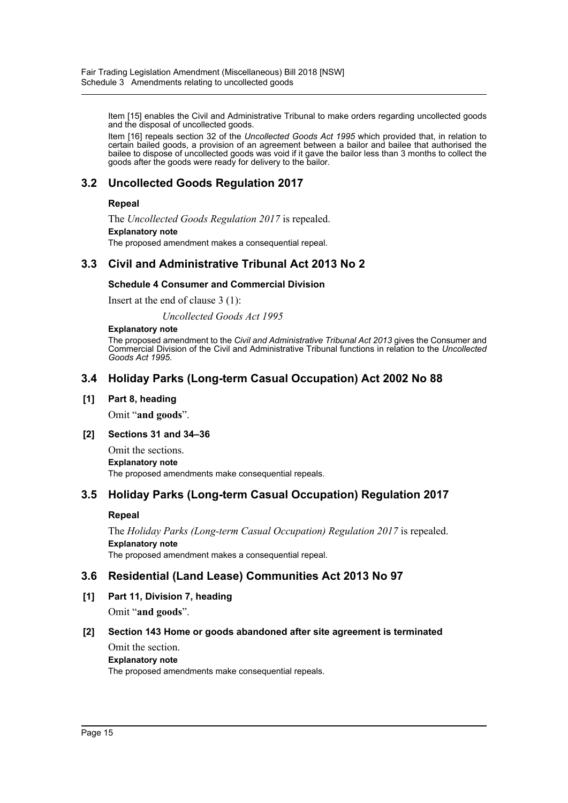Item [15] enables the Civil and Administrative Tribunal to make orders regarding uncollected goods and the disposal of uncollected goods.

Item [16] repeals section 32 of the *Uncollected Goods Act 1995* which provided that, in relation to certain bailed goods, a provision of an agreement between a bailor and bailee that authorised the bailee to dispose of uncollected goods was void if it gave the bailor less than 3 months to collect the goods after the goods were ready for delivery to the bailor.

## **3.2 Uncollected Goods Regulation 2017**

## **Repeal**

The *Uncollected Goods Regulation 2017* is repealed. **Explanatory note** The proposed amendment makes a consequential repeal.

## **3.3 Civil and Administrative Tribunal Act 2013 No 2**

## **Schedule 4 Consumer and Commercial Division**

Insert at the end of clause 3 (1):

*Uncollected Goods Act 1995*

#### **Explanatory note**

The proposed amendment to the *Civil and Administrative Tribunal Act 2013* gives the Consumer and Commercial Division of the Civil and Administrative Tribunal functions in relation to the *Uncollected Goods Act 1995*.

## **3.4 Holiday Parks (Long-term Casual Occupation) Act 2002 No 88**

## **[1] Part 8, heading**

Omit "**and goods**".

### **[2] Sections 31 and 34–36**

Omit the sections. **Explanatory note** The proposed amendments make consequential repeals.

## **3.5 Holiday Parks (Long-term Casual Occupation) Regulation 2017**

## **Repeal**

The *Holiday Parks (Long-term Casual Occupation) Regulation 2017* is repealed. **Explanatory note** The proposed amendment makes a consequential repeal.

## **3.6 Residential (Land Lease) Communities Act 2013 No 97**

**[1] Part 11, Division 7, heading** Omit "**and goods**".

## **[2] Section 143 Home or goods abandoned after site agreement is terminated**

Omit the section. **Explanatory note**

The proposed amendments make consequential repeals.